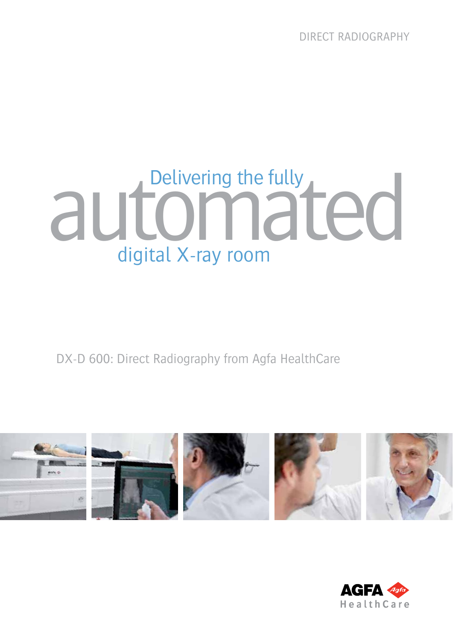DIRECT Radiography

# automate fully<br>and Commated digital X-ray room

DX-D 600: Direct Radiography from Agfa HealthCare



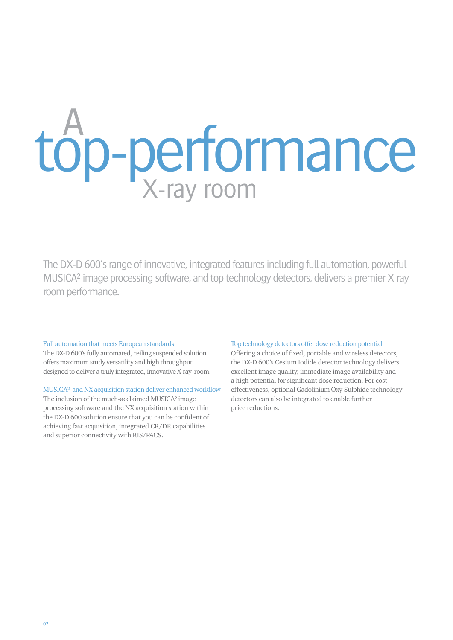## top-performance X-ray room A

The DX-D 600's range of innovative, integrated features including full automation, powerful MUSICA2 image processing software, and top technology detectors, delivers a premier X-ray room performance.

#### Full automation that meets European standards

The DX-D 600's fully automated, ceiling suspended solution offers maximum study versatility and high throughput designed to deliver a truly integrated, innovative X-ray room.

#### MUSICA² and NX acquisition station deliver enhanced workflow

The inclusion of the much-acclaimed MUSICA² image processing software and the NX acquisition station within the DX-D 600 solution ensure that you can be confident of achieving fast acquisition, integrated CR/DR capabilities and superior connectivity with RIS/PACS.

#### Top technology detectors offer dose reduction potential

Offering a choice of fixed, portable and wireless detectors, the DX-D 600's Cesium Iodide detector technology delivers excellent image quality, immediate image availability and a high potential for significant dose reduction. For cost effectiveness, optional Gadolinium Oxy-Sulphide technology detectors can also be integrated to enable further price reductions.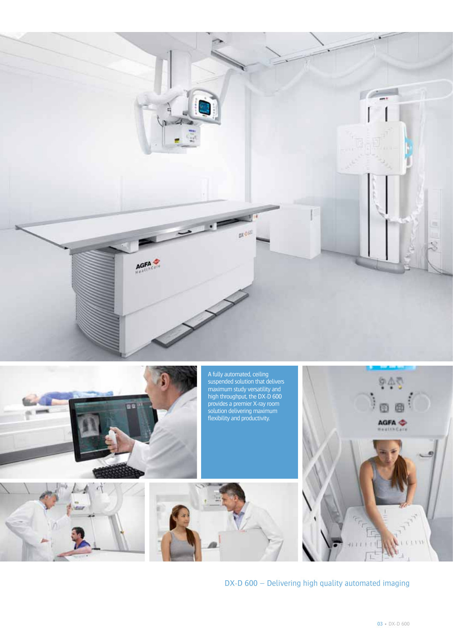

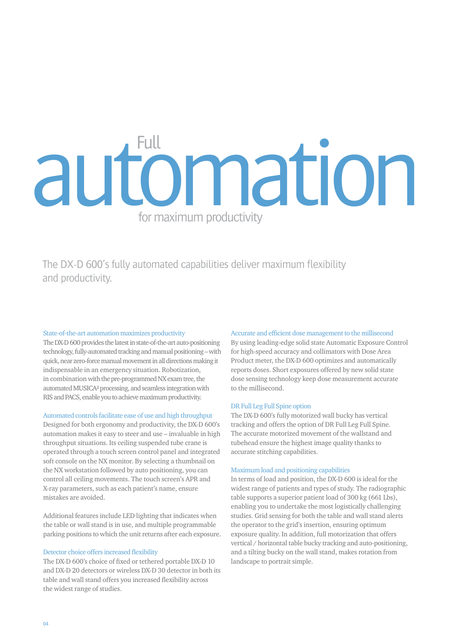### automation for maximum productivity Full

The DX-D 600's fully automated capabilities deliver maximum flexibility and productivity.

#### State-of-the-art automation maximizes productivity

The DX-D 600 provides the latest in state-of-the-art auto-positioning technology, fully-automated tracking and manual positioning – with quick, near zero-force manual movement in all directions making it indispensable in an emergency situation. Robotization, in combination with the pre-programmed NX exam tree, the automated MUSICA² processing, and seamless integration with RIS and PACS, enable you to achieve maximum productivity.

#### Automated controls facilitate ease of use and high throughput

Designed for both ergonomy and productivity, the DX-D 600's automation makes it easy to steer and use – invaluable in high throughput situations. Its ceiling suspended tube crane is operated through a touch screen control panel and integrated soft console on the NX monitor. By selecting a thumbnail on the NX workstation followed by auto positioning, you can control all ceiling movements. The touch screen's APR and X-ray parameters, such as each patient's name, ensure mistakes are avoided.

Additional features include LED lighting that indicates when the table or wall stand is in use, and multiple programmable parking positions to which the unit returns after each exposure.

#### Detector choice offers increased flexibility

The DX-D 600's choice of fixed or tethered portable DX-D 10 and DX-D 20 detectors or wireless DX-D 30 detector in both its table and wall stand offers you increased flexibility across the widest range of studies.

#### Accurate and efficient dose management to the millisecond

By using leading-edge solid state Automatic Exposure Control for high-speed accuracy and collimators with Dose Area Product meter, the DX-D 600 optimizes and automatically reports doses. Short exposures offered by new solid state dose sensing technology keep dose measurement accurate to the millisecond.

#### DR Full Leg Full Spine option

The DX-D 600's fully motorized wall bucky has vertical tracking and offers the option of DR Full Leg Full Spine. The accurate motorized movement of the wallstand and tubehead ensure the highest image quality thanks to accurate stitching capabilities.

#### Maximum load and positioning capabilities

In terms of load and position, the DX-D 600 is ideal for the widest range of patients and types of study. The radiographic table supports a superior patient load of 300 kg (661 Lbs), enabling you to undertake the most logistically challenging studies. Grid sensing for both the table and wall stand alerts the operator to the grid's insertion, ensuring optimum exposure quality. In addition, full motorization that offers vertical / horizontal table bucky tracking and auto-positioning, and a tilting bucky on the wall stand, makes rotation from landscape to portrait simple.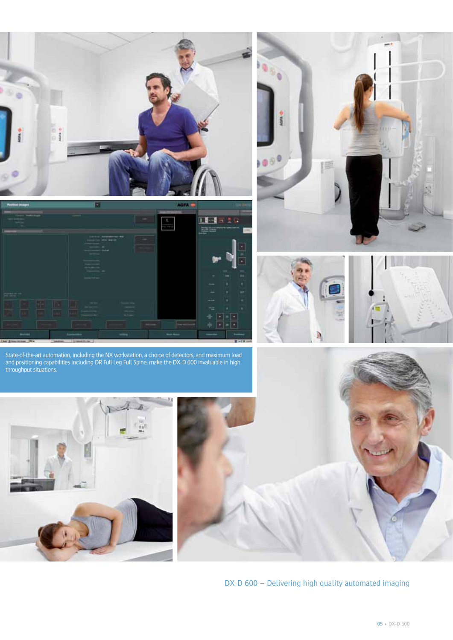









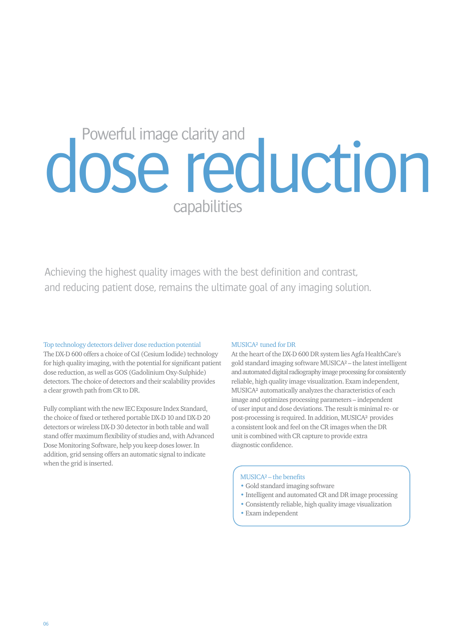## dose reduction capabilities

Achieving the highest quality images with the best definition and contrast, and reducing patient dose, remains the ultimate goal of any imaging solution.

#### Top technology detectors deliver dose reduction potential

The DX-D 600 offers a choice of CsI (Cesium Iodide) technology for high quality imaging, with the potential for significant patient dose reduction, as well as GOS (Gadolinium Oxy-Sulphide) detectors. The choice of detectors and their scalability provides a clear growth path from CR to DR.

Fully compliant with the new IEC Exposure Index Standard, the choice of fixed or tethered portable DX-D 10 and DX-D 20 detectors or wireless DX-D 30 detector in both table and wall stand offer maximum flexibility of studies and, with Advanced Dose Monitoring Software, help you keep doses lower. In addition, grid sensing offers an automatic signal to indicate when the grid is inserted.

#### MUSICA<sup>2</sup> tuned for DR

At the heart of the DX-D 600 DR system lies Agfa HealthCare's gold standard imaging software MUSICA² – the latest intelligent and automated digital radiography image processing for consistently reliable, high quality image visualization. Exam independent, MUSICA² automatically analyzes the characteristics of each image and optimizes processing parameters – independent of user input and dose deviations. The result is minimal re- or post-processing is required. In addition, MUSICA² provides a consistent look and feel on the CR images when the DR unit is combined with CR capture to provide extra diagnostic confidence.

#### MUSICA² – the benefits

- Gold standard imaging software
- Intelligent and automated CR and DR image processing
- Consistently reliable, high quality image visualization
- Exam independent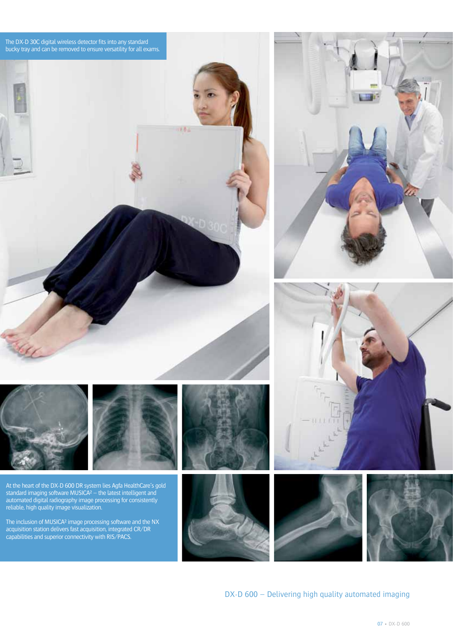

At the heart of the DX-D 600 DR system lies Agfa HealthCare's gold standard imaging software MUSICA² – the latest intelligent and automated digital radiography image processing for consistently reliable, high quality image visualization.

The inclusion of MUSICA<sup>2</sup> image processing software and the NX acquisition station delivers fast acquisition, integrated CR/DR capabilities and superior connectivity with RIS/PACS.







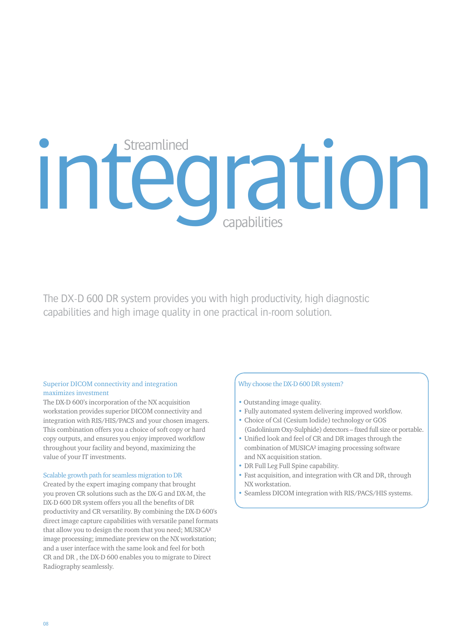### integration capabilities **Streamlined**

The DX-D 600 DR system provides you with high productivity, high diagnostic capabilities and high image quality in one practical in-room solution.

#### Superior DICOM connectivity and integration maximizes investment

The DX-D 600's incorporation of the NX acquisition workstation provides superior DICOM connectivity and integration with RIS/HIS/PACS and your chosen imagers. This combination offers you a choice of soft copy or hard copy outputs, and ensures you enjoy improved workflow throughout your facility and beyond, maximizing the value of your IT investments.

#### Scalable growth path for seamless migration to DR

Created by the expert imaging company that brought you proven CR solutions such as the DX-G and DX-M, the DX-D 600 DR system offers you all the benefits of DR productivity and CR versatility. By combining the DX-D 600's direct image capture capabilities with versatile panel formats that allow you to design the room that you need; MUSICA² image processing; immediate preview on the NX workstation; and a user interface with the same look and feel for both CR and DR , the DX-D 600 enables you to migrate to Direct Radiography seamlessly.

#### Why choose the DX-D 600 DR system?

- Outstanding image quality.
- Fully automated system delivering improved workflow.
- Choice of CsI (Cesium Iodide) technology or GOS (Gadolinium Oxy-Sulphide) detectors – fixed full size or portable.
- Unified look and feel of CR and DR images through the combination of MUSICA² imaging processing software and NX acquisition station.
- DR Full Leg Full Spine capability.
- Fast acquisition, and integration with CR and DR, through NX workstation.
- Seamless DICOM integration with RIS/PACS/HIS systems.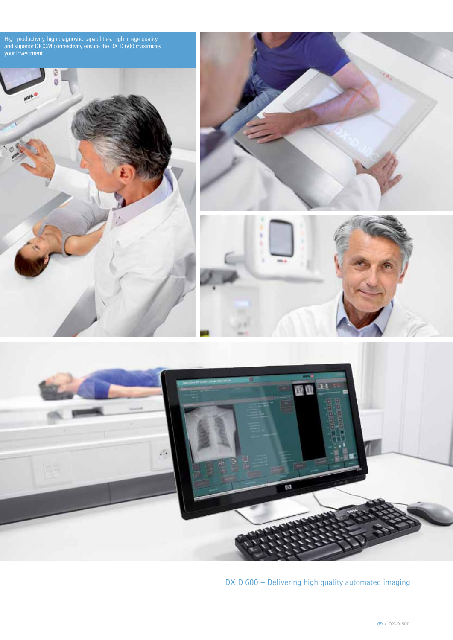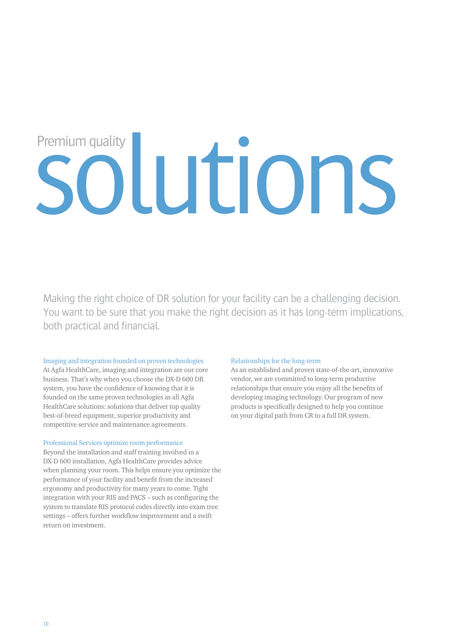## solutions Premium quality

Making the right choice of DR solution for your facility can be a challenging decision. You want to be sure that you make the right decision as it has long-term implications, both practical and financial.

#### Imaging and integration founded on proven technologies

At Agfa HealthCare, imaging and integration are our core business. That's why when you choose the DX-D 600 DR system, you have the confidence of knowing that it is founded on the same proven technologies as all Agfa HealthCare solutions: solutions that deliver top quality best-of-breed equipment, superior productivity and competitive service and maintenance agreements.

#### Professional Services optimize room performance

Beyond the installation and staff training involved in a DX-D 600 installation, Agfa HealthCare provides advice when planning your room. This helps ensure you optimize the performance of your facility and benefit from the increased ergonomy and productivity for many years to come. Tight integration with your RIS and PACS – such as configuring the system to translate RIS protocol codes directly into exam tree settings – offers further workflow improvement and a swift return on investment.

#### Relationships for the long-term

As an established and proven state-of-the-art, innovative vendor, we are committed to long-term productive relationships that ensure you enjoy all the benefits of developing imaging technology. Our program of new products is specifically designed to help you continue on your digital path from CR to a full DR system.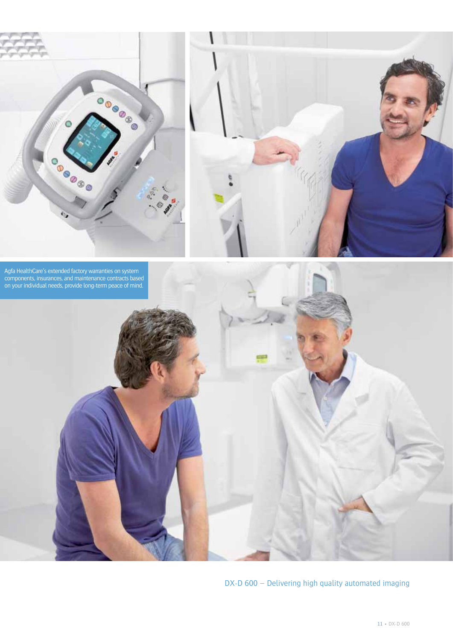



Agfa HealthCare's extended factory warranties on system components, insurances, and maintenance contracts based